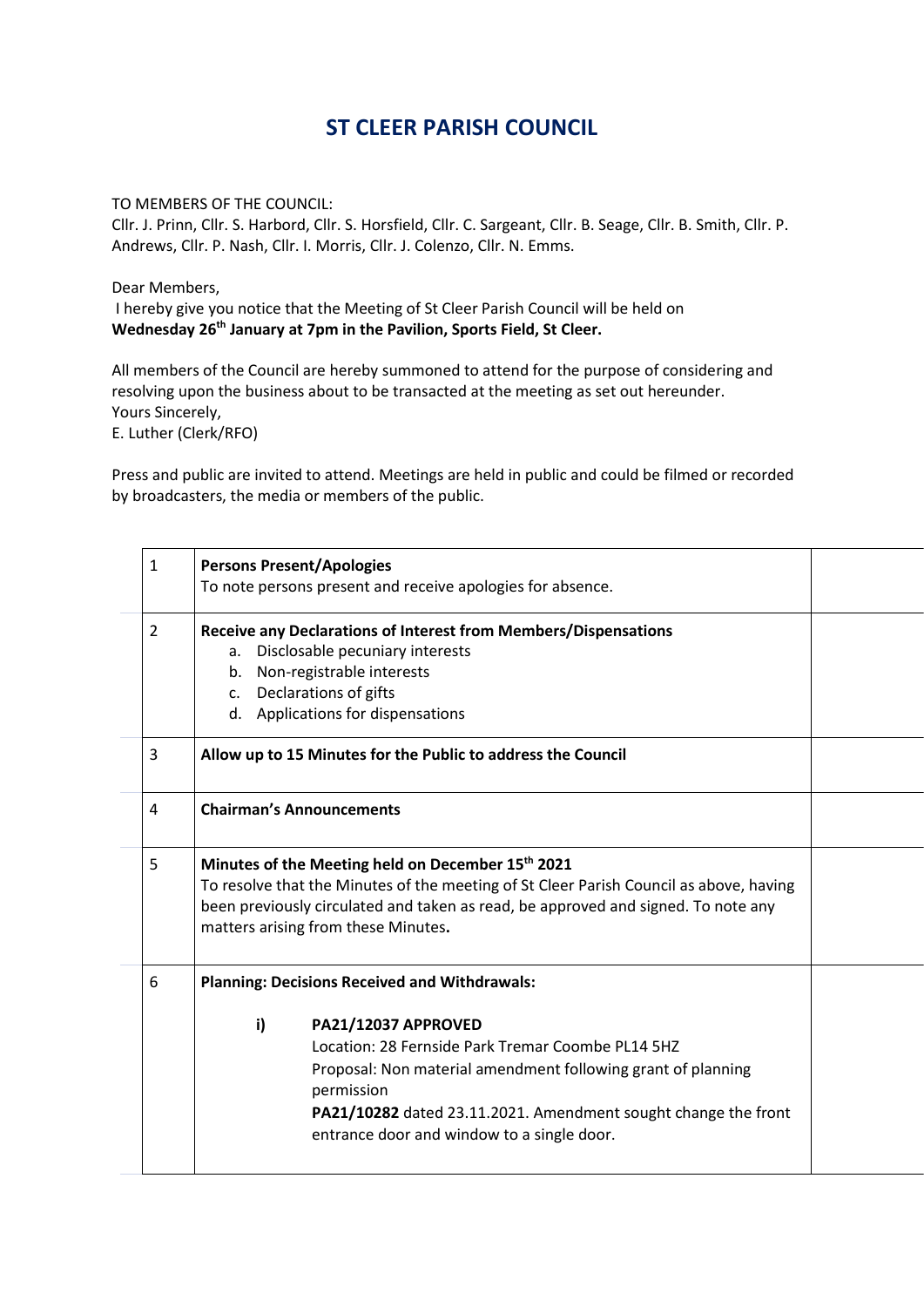## **ST CLEER PARISH COUNCIL**

TO MEMBERS OF THE COUNCIL:

Cllr. J. Prinn, Cllr. S. Harbord, Cllr. S. Horsfield, Cllr. C. Sargeant, Cllr. B. Seage, Cllr. B. Smith, Cllr. P. Andrews, Cllr. P. Nash, Cllr. I. Morris, Cllr. J. Colenzo, Cllr. N. Emms.

Dear Members,

I hereby give you notice that the Meeting of St Cleer Parish Council will be held on **Wednesday 26th January at 7pm in the Pavilion, Sports Field, St Cleer.**

All members of the Council are hereby summoned to attend for the purpose of considering and resolving upon the business about to be transacted at the meeting as set out hereunder. Yours Sincerely,

E. Luther (Clerk/RFO)

Press and public are invited to attend. Meetings are held in public and could be filmed or recorded by broadcasters, the media or members of the public.

| 1 |                                                                                        |                                                                              |  |  |  |
|---|----------------------------------------------------------------------------------------|------------------------------------------------------------------------------|--|--|--|
|   | <b>Persons Present/Apologies</b>                                                       |                                                                              |  |  |  |
|   |                                                                                        | To note persons present and receive apologies for absence.                   |  |  |  |
| 2 |                                                                                        | Receive any Declarations of Interest from Members/Dispensations              |  |  |  |
|   | а.                                                                                     | Disclosable pecuniary interests                                              |  |  |  |
|   | b.                                                                                     | Non-registrable interests                                                    |  |  |  |
|   |                                                                                        | c. Declarations of gifts                                                     |  |  |  |
|   |                                                                                        | d. Applications for dispensations                                            |  |  |  |
| 3 |                                                                                        | Allow up to 15 Minutes for the Public to address the Council                 |  |  |  |
| 4 |                                                                                        | <b>Chairman's Announcements</b>                                              |  |  |  |
| 5 |                                                                                        | Minutes of the Meeting held on December 15th 2021                            |  |  |  |
|   | To resolve that the Minutes of the meeting of St Cleer Parish Council as above, having |                                                                              |  |  |  |
|   | been previously circulated and taken as read, be approved and signed. To note any      |                                                                              |  |  |  |
|   |                                                                                        | matters arising from these Minutes.                                          |  |  |  |
|   |                                                                                        |                                                                              |  |  |  |
| 6 |                                                                                        | <b>Planning: Decisions Received and Withdrawals:</b>                         |  |  |  |
|   |                                                                                        |                                                                              |  |  |  |
|   | i)                                                                                     | PA21/12037 APPROVED                                                          |  |  |  |
|   |                                                                                        | Location: 28 Fernside Park Tremar Coombe PL14 5HZ                            |  |  |  |
|   |                                                                                        | Proposal: Non material amendment following grant of planning                 |  |  |  |
|   |                                                                                        | permission<br>PA21/10282 dated 23.11.2021. Amendment sought change the front |  |  |  |